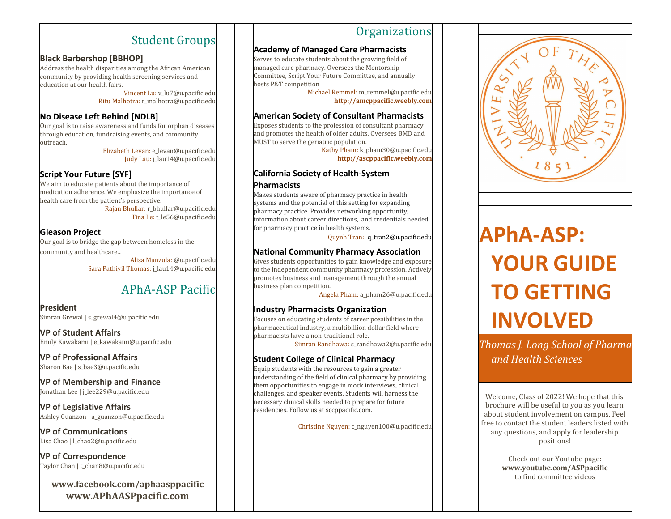# Student Groups

#### **Black Barbershop [BBHOP]**

Address the health disparities among the African American community by providing health screening services and education at our health fairs.

> Vincent Lu: v\_lu7@u.pacific.edu Ritu Malhotra: r\_malhotra@u.pacific.edu

## **No Disease Left Behind [NDLB]**

Our goal is to raise awareness and funds for orphan diseases through education, fundraising events, and community outreach.

Elizabeth Levan: e\_levan@u.pacific.edu Judy Lau: j\_lau14@u.pacific.edu

# **Script Your Future [SYF]**

We aim to educate patients about the importance of medication adherence. We emphasize the importance of health care from the patient's perspective.

Rajan Bhullar: r\_bhullar@u.pacific.edu Tina Le: t\_le56@u.pacific.edu

# **Gleason Project**

Our goal is to bridge the gap between homeless in the community and healthcare..

> Alisa Manzula: @u.pacific.edu Sara Pathiyil Thomas: j\_lau14@u.pacific.edu

# APhA-ASP Pacific

**President** Simran Grewal | s\_grewal4@u.pacific.edu

**VP of Student Affairs** Emily Kawakami | e\_kawakami@u.pacific.edu

**VP of Professional Affairs** Sharon Bae | s\_bae3@u.pacific.edu

#### **VP of Membership and Finance** Jonathan Lee | j\_lee229@u.pacific.edu

**VP of Legislative Affairs** Ashley Guanzon | a\_guanzon@u.pacific.edu

**VP of Communications** Lisa Chao | l\_chao2@u.pacific.edu

**VP of Correspondence** Taylor Chan | t\_chan8@u.pacific.edu

**www.facebook.com/aphaasppacific www.APhAASPpacific.com**

# **Organizations**

#### **Academy of Managed Care Pharmacists**

Serves to educate students about the growing field of managed care pharmacy. Oversees the Mentorship Committee, Script Your Future Committee, and annually hosts P&T competition

> Michael Remmel: m\_remmel@u.pacific.edu **http://amcppacific.weebly.com**

#### **American Society of Consultant Pharmacists**

Exposes students to the profession of consultant pharmacy and promotes the health of older adults. Oversees BMD and MUST to serve the geriatric population.

Kathy Pham: k\_pham30@u.pacific.edu **http://ascppacific.weebly.com**

#### **California Society of Health-System Pharmacists**

Makes students aware of pharmacy practice in health systems and the potential of this setting for expanding pharmacy practice. Provides networking opportunity, information about career directions, and credentials needed for pharmacy practice in health systems.

Quynh Tran: q\_tran2@u.pacific.edu

## **National Community Pharmacy Association**

Gives students opportunities to gain knowledge and exposure to the independent community pharmacy profession. Actively promotes business and management through the annual business plan competition.

Angela Pham: a\_pham26@u.pacific.edu

# **Industry Pharmacists Organization**

Focuses on educating students of career possibilities in the pharmaceutical industry, a multibillion dollar field where pharmacists have a non-traditional role.

Simran Randhawa: s\_randhawa2@u.pacific.edu

# **Student College of Clinical Pharmacy**

Equip students with the resources to gain a greater understanding of the field of clinical pharmacy by providing them opportunities to engage in mock interviews, clinical challenges, and speaker events. Students will harness the necessary clinical skills needed to prepare for future residencies. Follow us at sccppacific.com.

Christine Nguyen: c\_nguyen100@u.pacific.edu



# **APhA-ASP: YOUR GUIDE TO GETTING INVOLVED**

*Thomas J. Long School of Pharma and Health Sciences*

Welcome, Class of 2022! We hope that this brochure will be useful to you as you learn about student involvement on campus. Feel free to contact the student leaders listed with any questions, and apply for leadership positions!

> Check out our Youtube page: **www.youtube.com/ASPpacific** to find committee videos